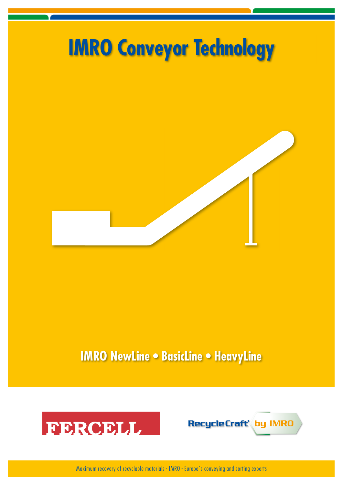

# **IMRO NewLine • BasicLine • HeavyLine**





Maximum recovery of recyclable materials - IMRO - Europe´s conveying and sorting experts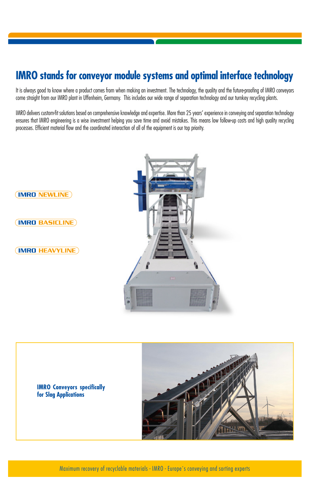## **IMRO stands for conveyor module systems and optimal interface technology**

It is always good to know where a product comes from when making an investment. The technology, the quality and the future-proofing of IMRO conveyors come straight from our IMRO plant in Uffenheim, Germany. This includes our wide range of separation technology and our turnkey recycling plants.

IMRO delivers custom-fit solutions based on comprehensive knowledge and expertise. More than 25 years' experience in conveying and separation technology ensures that IMRO engineering is a wise investment helping you save time and avoid mistakes. This means low follow-up costs and high quality recycling processes. Efficient material flow and the coordinated interaction of all of the equipment is our top priority.





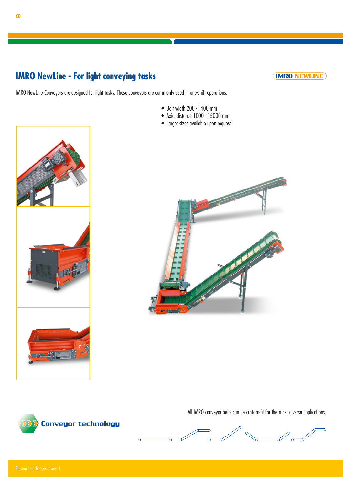### **IMRO NewLine - For light conveying tasks**

**(IMRO NEWLINE)** 

IMRO NewLine Conveyors are designed for light tasks. These conveyors are commonly used in one-shift operations.

- Belt width 200 1400 mm
- Axial distance 1000 15000 mm
- Larger sizes available upon request





All IMRO conveyor belts can be custom-fit for the most diverse applications.



Conveyor technology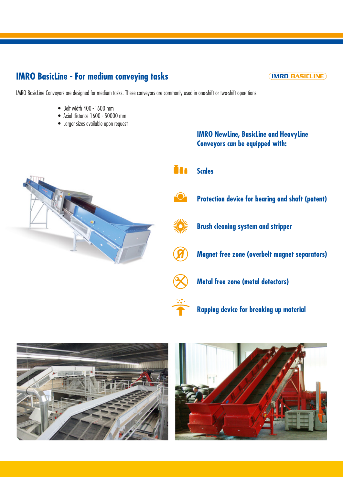### **IMRO BasicLine - For medium conveying tasks**

**(IMRO BASICLINE)** 

IMRO BasicLine Conveyors are designed for medium tasks. These conveyors are commonly used in one-shift or two-shift operations.

- Belt width 400 1600 mm
- Axial distance 1600 50000 mm
- Larger sizes available upon request

#### **IMRO NewLine, BasicLine and HeavyLine Conveyors can be equipped with:**







**Protection device for bearing and shaft (patent)**



**Brush cleaning system and stripper**

**Magnet free zone (overbelt magnet separators)**



**Rapping device for breaking up material**



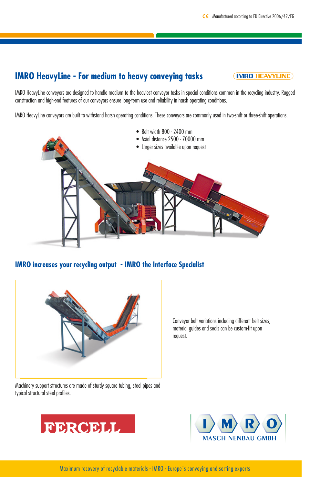### **IMRO HeavyLine - For medium to heavy conveying tasks**

**(IMRO HEAVYLINE)** 

IMRO HeavyLine conveyors are designed to handle medium to the heaviest conveyor tasks in special conditions common in the recycling industry. Rugged construction and high-end features of our conveyors ensure long-term use and reliability in harsh operating conditions.

IMRO HeavyLine conveyors are built to withstand harsh operating conditions. These conveyors are commonly used in two-shift or three-shift operations.



**IMRO increases your recycling output - IMRO the Interface Specialist**



Machinery support structures are made of sturdy square tubing, steel pipes and typical structural steel profiles.

Conveyor belt variations including different belt sizes, material guides and seals can be custom-fit upon request.